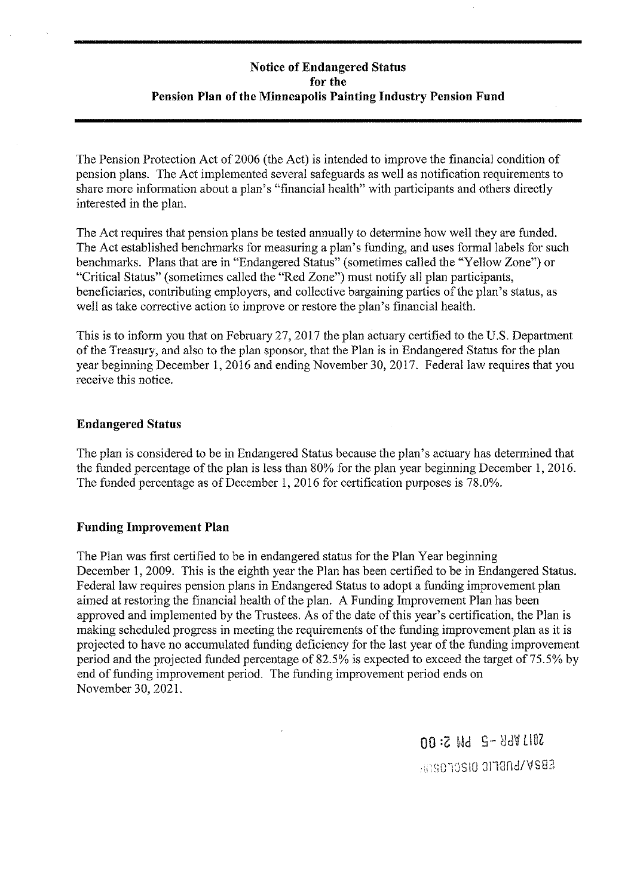# **Notice of Endangered Status for the Pension Plan of the Minneapolis Painting Industry Pension Fund**

The Pension Protection Act of 2006 (the Act) is intended to improve the financial condition of pension plans. The Act implemented several safeguards as well as notification requirements to share more information about a plan's "financial health" with participants and others directly interested in the plan.

The Act requires that pension plans be tested annually to determine how well they are funded. The Act established benchmarks for measuring a plan's funding, and uses formal labels for such benchmarks. Plans that are in "Endangered Status" (sometimes called the "Yellow Zone") or "Critical Status" (sometimes called the "Red Zone") must notify all plan participants, beneficiaries, contributing employers, and collective bargaining parties of the plan's status, as well as take corrective action to improve or restore the plan's financial health.

This is to inform you that on February 27, 2017 the plan actuary certified to the U.S. Department of the Treasury, and also to the plan sponsor, that the Plan is in Endangered Status for the plan year beginning December 1, 2016 and ending November 30, 2017. Federal law requires that you receive this notice.

### **Endangered Status**

The plan is considered to be in Endangered Status because the plan's actuary has determined that the funded percentage of the plan is less than 80% for the plan year beginning December 1, 2016. The funded percentage as of December 1, 2016 for certification purposes is 78.0%.

### **Funding Improvement Plan**

The Plan was first certified to be in endangered status for the Plan Year beginning December 1, 2009. This is the eighth year the Plan has been certified to be in Endangered Status. Federal law requires pension plans in Endangered Status to adopt a funding improvement plan aimed at restoring the financial health of the plan. A Funding Improvement Plan has been approved and implemented by the Trustees. As of the date of this year's certification, the Plan is making scheduled progress in meeting the requirements of the funding improvement plan as it is projected to have no accumulated funding deficiency for the last year of the funding improvement period and the projected funded percentage of 82.5% is expected to exceed the target of 75.5% by end of funding improvement period. The funding improvement period ends on November 30, 2021.

> 00 :Z Wd S- 86V LIOZ 'i'.)~;10 :Ji18nd/VS83